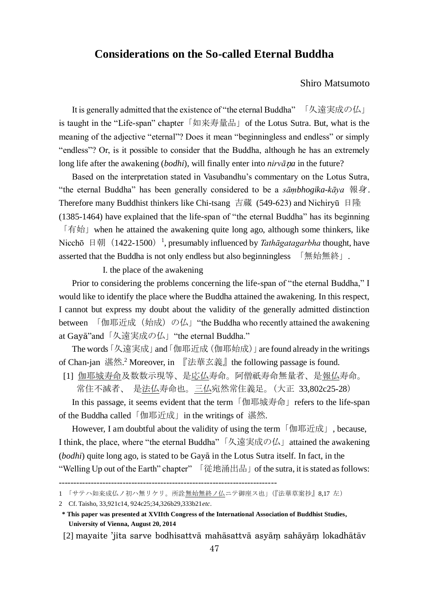# **Considerations on the So-called Eternal Buddha**

## Shiro Matsumoto

 It is generally admitted that the existence of "the eternal Buddha" 「久遠実成の仏」 is taught in the "Life-span" chapter「如来寿量品」of the Lotus Sutra. But, what is the meaning of the adjective "eternal"? Does it mean "beginningless and endless" or simply "endless"? Or, is it possible to consider that the Buddha, although he has an extremely long life after the awakening (*bodhi*), will finally enter into *nirvāa* in the future?

 Based on the interpretation stated in Vasubandhu's commentary on the Lotus Sutra, "the eternal Buddha" has been generally considered to be a *sāṃbhogika-kāya* 報身. Therefore many Buddhist thinkers like Chi-tsang 吉蔵 (549-623) and Nichiryū 日隆 (1385-1464) have explained that the life-span of "the eternal Buddha" has its beginning 「有始」when he attained the awakening quite long ago, although some thinkers, like Nicchō 日朝 (1422-1500)<sup>1</sup>, presumably influenced by *Tathāgatagarbha* thought, have asserted that the Buddha is not only endless but also beginningless 「無始無終」.

I. the place of the awakening

 Prior to considering the problems concerning the life-span of "the eternal Buddha," I would like to identify the place where the Buddha attained the awakening. In this respect, I cannot but express my doubt about the validity of the generally admitted distinction between 「伽耶近成(始成)の仏」"the Buddha who recently attained the awakening at Gaya<sup>"</sup>and「久遠実成の仏」"the eternal Buddha."

 The words「久遠実成」and「伽耶近成(伽耶始成)」are found already in the writings of Chan-jan 湛然. <sup>2</sup> Moreover, in 『法華玄義』the following passage is found.

[1] 伽耶城寿命及数数示現等、是応仏寿命。阿僧祇寿命無量者、是報仏寿命。

常住不滅者、 是法仏寿命也。三仏宛然常住義足。(大正 33,802c25-28)

In this passage, it seems evident that the term 「伽耶城寿命」refers to the life-span of the Buddha called「伽耶近成」in the writings of 湛然.

However, I am doubtful about the validity of using the term 「伽耶近成」, because, I think, the place, where "the eternal Buddha"「久遠実成の仏」attained the awakening (*bodhi*) quite long ago, is stated to be Gaya in the Lotus Sutra itself. In fact, in the "Welling Up out of the Earth" chapter" 「従地涌出品」of the sutra, it is stated as follows:

[2] mayaite 'jita sarve bodhisattvā mahāsattvā asvām sahāyām lokadhātāv

<sup>---------------------------------------------------------------------------</sup>

<sup>1</sup> 「サテハ如来成仏ノ初ハ無リケリ。所詮無始無終ノ仏ニテ御座ス也」(『法華草案抄』8,17 左)

<sup>2</sup> Cf. Taisho, 33,921c14, 924c25;34,326b29,333b21*etc*.

**<sup>\*</sup> This paper was presented at XVIIth Congress of the International Association of Buddhist Studies, University of Vienna, August 20, 2014**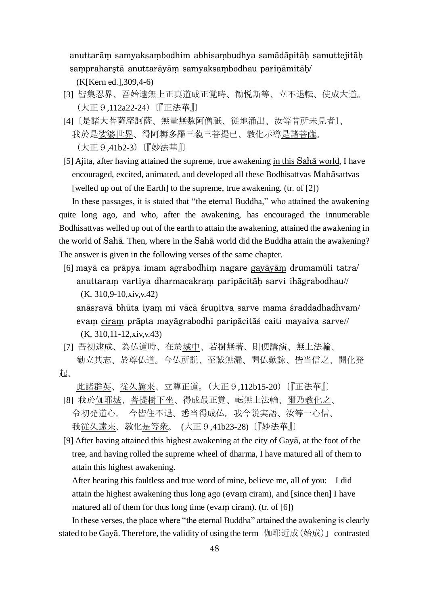anuttarām samyaksambodhim abhisambudhya samādāpitāh samuttejitāh sampraharstā anuttarāyām samyaksambodhau parināmitāh/

(K[Kern ed.],309,4-6)

- [3] 皆集忍界、吾始逮無上正真道成正覚時、勧悦斯等、立不退転、使成大道。 (大正9,112a22-24)〔『正法華』〕
- [4]〔是諸大菩薩摩訶薩、無量無数阿僧祇、従地涌出、汝等昔所未見者〕、 我於是娑婆世界、得阿耨多羅三藐三菩提已、教化示導是諸菩薩。 (大正9,41b2-3)〔『妙法華』〕
- [5] Ajita, after having attained the supreme, true awakening in this Saha world, I have encouraged, excited, animated, and developed all these Bodhisattvas Mahāsattvas [welled up out of the Earth] to the supreme, true awakening. (tr. of [2])

 In these passages, it is stated that "the eternal Buddha," who attained the awakening quite long ago, and who, after the awakening, has encouraged the innumerable Bodhisattvas welled up out of the earth to attain the awakening, attained the awakening in the world of Sahā. Then, where in the Sahā world did the Buddha attain the awakening? The answer is given in the following verses of the same chapter.

[6] mayā ca prāpya imam agrabodhim nagare gayāyām drumamūli tatra/ anuttaram vartiya dharmacakram paripācitāh sarvi ihāgrabodhau// (K, 310,9-10,xiv,v.42)

anāsravā bhūta iyam mi vācā śrunitva sarve mama śraddadhadhvam/ evam ciram prāpta mayāgrabodhi paripācitās caiti mayaiva sarve// (K, 310,11-12,xiv,v.43)

[7] 吾初逮成、為仏道時、在於城中、若樹無著、則便講演、無上法輪、 勧立其志、於尊仏道。今仏所説、至誠無漏、開仏歎詠、皆当信之、開化発 起、

此諸群英、従久曩来、立尊正道。(大正9,112b15-20)〔『正法華』〕

- [8] 我於伽耶城、菩提樹下坐、得成最正覚、転無上法輪、爾乃教化之、 令初発道心。 今皆住不退、悉当得成仏。我今説実語、汝等一心信、 我従久遠来、教化是等衆。 (大正9,41b23-28)〔『妙法華』〕
- [9] After having attained this highest awakening at the city of Gaya, at the foot of the tree, and having rolled the supreme wheel of dharma, I have matured all of them to attain this highest awakening.

 After hearing this faultless and true word of mine, believe me, all of you: I did attain the highest awakening thus long ago (evam ciram), and [since then] I have matured all of them for thus long time (evam ciram). (tr. of  $[6]$ )

 In these verses, the place where "the eternal Buddha" attained the awakening is clearly stated to be Gaya. Therefore, the validity of using the term  $\lceil \frac{m}{m} \cdot \frac{m}{m} \cdot \frac{m}{m} \cdot \frac{m}{m} \cdot \frac{m}{m} \cdot \frac{m}{m} \cdot \frac{m}{m} \cdot \frac{m}{m} \cdot \frac{m}{m} \cdot \frac{m}{m} \cdot \frac{m}{m} \cdot \frac{m}{m} \cdot \frac{m}{m} \cdot \frac{m}{m} \cdot \frac{m}{m} \cdot \frac{m}{m} \cdot \frac{m}{m} \cdot \frac$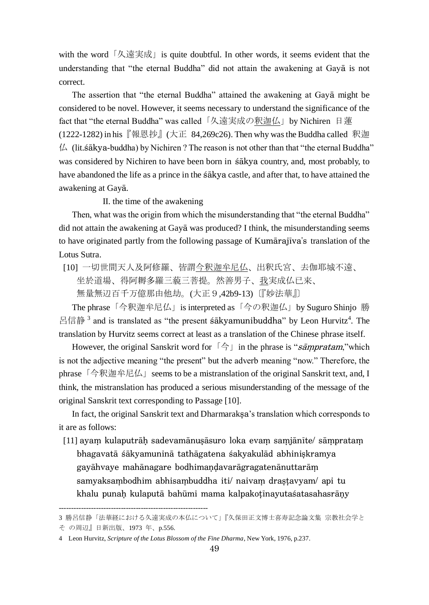with the word「久遠実成」is quite doubtful. In other words, it seems evident that the understanding that "the eternal Buddha" did not attain the awakening at Gaya is not correct.

The assertion that "the eternal Buddha" attained the awakening at Gaya might be considered to be novel. However, it seems necessary to understand the significance of the fact that "the eternal Buddha" was called「久遠実成の釈迦仏」by Nichiren 日蓮 (1222-1282) in his『報恩抄』(大正 84,269c26). Then why was the Buddha called 釈迦  $\mu$  (lit.sakya-buddha) by Nichiren ? The reason is not other than that "the eternal Buddha" was considered by Nichiren to have been born in sakya country, and, most probably, to have abandoned the life as a prince in the sakya castle, and after that, to have attained the awakening at Gaya.

### II. the time of the awakening

 Then, what was the origin from which the misunderstanding that "the eternal Buddha" did not attain the awakening at Gay $\bar{a}$  was produced? I think, the misunderstanding seems to have originated partly from the following passage of Kumarajiva's translation of the Lotus Sutra.

[10] 一切世間天人及阿修羅、皆謂今釈迦牟尼仏、出釈氏宮、去伽耶城不遠、

坐於道場、得阿耨多羅三藐三菩提。然善男子、我実成仏已来、

無量無辺百千万億那由他劫。(大正9.42b9-13)〔『妙法華』〕

 The phrase「今釈迦牟尼仏」is interpreted as「今の釈迦仏」by Suguro Shinjo 勝 呂信静<sup>3</sup> and is translated as "the present sakyamunibuddha" by Leon Hurvitz<sup>4</sup>. The translation by Hurvitz seems correct at least as a translation of the Chinese phrase itself.

However, the original Sanskrit word for  $\lceil \frac{A}{\cdot} \rceil$  in the phrase is "sampratam," which is not the adjective meaning "the present" but the adverb meaning "now." Therefore, the phrase 「今釈迦牟尼仏」 seems to be a mistranslation of the original Sanskrit text, and, I think, the mistranslation has produced a serious misunderstanding of the message of the original Sanskrit text corresponding to Passage [10].

In fact, the original Sanskrit text and Dharmaraksa's translation which corresponds to it are as follows:

[11] ayam kulaputrāḥ sadevamānuṣāsuro loka evam samjānīte/ sāmpratam bhagavatā śākyamuninā tathāgatena śakyakulād abhiniskramya gayāhvaye mahānagare bodhimaņdavarāgragatenānuttarām samyaksambodhim abhisambuddha iti/ naivam drastavyam/ api tu khalu punah kulaputā bahūmi mama kalpakoțīnayutaśatasahasrāny

------------------------------------------------------------

<sup>3</sup> 勝呂信静「法華経における久遠実成の本仏について」『久保田正文博士喜寿記念論文集 宗教社会学と

そ の周辺』日新出版、1973 年、p.556.

<sup>4</sup> Leon Hurvitz, *Scripture of the Lotus Blossom of the Fine Dharma*, New York, 1976, p.237.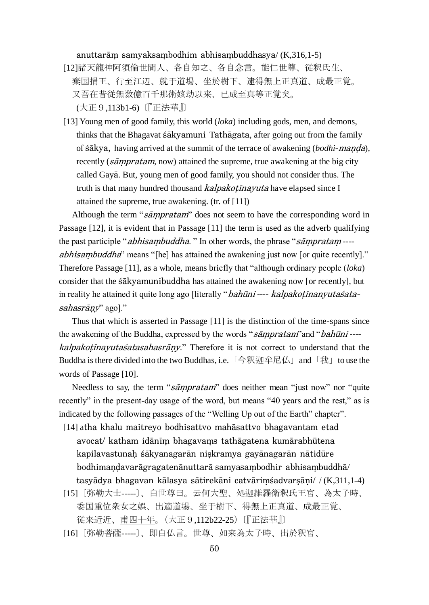#### anuttarām samyaksambodhim abhisambuddhasya/ $(K,316,1-5)$

- [12]諸天龍神阿須倫世間人、各自知之、各自念言。能仁世尊、従釈氏生、 棄国捐王、行至江辺、就于道場、坐於樹下、逮得無上正真道、成最正覚。 又吾在昔従無数億百千那術姟劫以来、已成至真等正覚矣。 (大正9,113b1-6)〔『正法華』〕
- [13] Young men of good family, this world (*loka*) including gods, men, and demons, thinks that the Bhagavat sakyamuni Tathagata, after going out from the family of *sakya*, having arrived at the summit of the terrace of awakening *(bodhi-manda)*, recently ( $s\bar{a}mpratam$ , now) attained the supreme, true awakening at the big city called Gaya. But, young men of good family, you should not consider thus. The truth is that many hundred thousand *kalpakotinayuta* have elapsed since I attained the supreme, true awakening. (tr. of [11])

Although the term "sampratam" does not seem to have the corresponding word in Passage [12], it is evident that in Passage [11] the term is used as the adverb qualifying the past participle "*abhisambuddha*." In other words, the phrase "*sāmpratam* ---abhisambuddha" means "[he] has attained the awakening just now [or quite recently]." Therefore Passage [11], as a whole, means briefly that "although ordinary people (*loka*) consider that the  $\frac{1}{6}$  also attained the awakening now [or recently], but in reality he attained it quite long ago [literally "bahūni ---- kalpakoținanyutasatasahasrāny" ago]."

 Thus that which is asserted in Passage [11] is the distinction of the time-spans since the awakening of the Buddha, expressed by the words "sampratam" and " bahūni ---*kalpakotinayutaśatasahasrāny*." Therefore it is not correct to understand that the Buddha is there divided into the two Buddhas, i.e. 「今釈迦牟尼仏」and 「我」to use the words of Passage [10].

Needless to say, the term "sampratam" does neither mean "just now" nor "quite recently" in the present-day usage of the word, but means "40 years and the rest," as is indicated by the following passages of the "Welling Up out of the Earth" chapter".

- [14] atha khalu maitreyo bodhisattvo mahāsattvo bhagavantam etad avocat/ katham idānīm bhagavams tathāgatena kumārabhūtena kapilavastunah śākyanagarān niskramya gayānagarān nātidūre bodhimandavarāgragatenānuttarā samyasambodhir abhisambuddhā/ tasyādya bhagavan kālasya sātirekāni catvārimsadvarsāņi/ /  $(K,311,1-4)$
- [15]〔弥勒大士-----〕、白世尊曰。云何大聖、処迦維羅衛釈氏王宮、為太子時、 委国重位衆女之娯、出適道場、坐于樹下、得無上正真道、成最正覚、 従来近近、甫四十年。(大正9,112b22-25)〔『正法華』〕
- [16]〔弥勒菩薩-----〕、即白仏言。世尊、如来為太子時、出於釈宮、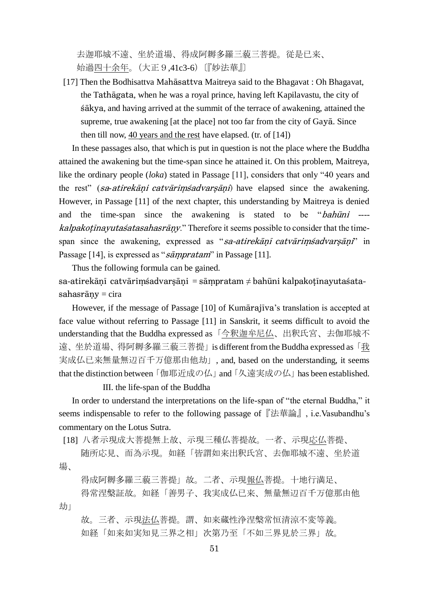去迦耶城不遠、坐於道場、得成阿耨多羅三藐三菩提。従是已来、 始過四十余年。(大正9,41c3-6)〔『妙法華』〕

 $[17]$  Then the Bodhisattva Mahasattva Maitreya said to the Bhagavat : Oh Bhagavat, the Tathāgata, when he was a royal prince, having left Kapilavastu, the city of sakya, and having arrived at the summit of the terrace of awakening, attained the supreme, true awakening [at the place] not too far from the city of Gaya. Since then till now,  $\frac{40}{2}$  years and the rest have elapsed. (tr. of [14])

 In these passages also, that which is put in question is not the place where the Buddha attained the awakening but the time-span since he attained it. On this problem, Maitreya, like the ordinary people (*loka*) stated in Passage [11], considers that only "40 years and the rest" (*sa-atirekani catvarimśadvarsani*) have elapsed since the awakening. However, in Passage [11] of the next chapter, this understanding by Maitreya is denied and the time-span since the awakening is stated to be " $b$ ah $\bar{u}$ ni ---*kalpakotīnayutaśatasahasrāny*." Therefore it seems possible to consider that the timespan since the awakening, expressed as "sa-atirekani catvarims advarsani" in Passage [14], is expressed as "sampratam" in Passage [11].

Thus the following formula can be gained.

sa-atirekānī catvārimśadvarsāni = sāmpratam  $\neq$  bahūni kalpakotīnavutaśata $sahasr\bar{a}ny = cira$ 

However, if the message of Passage  $[10]$  of Kumarajiva's translation is accepted at face value without referring to Passage [11] in Sanskrit, it seems difficult to avoid the understanding that the Buddha expressed as 「今釈迦牟尼仏、出釈氏宮、去伽耶城不 遠、坐於道場、得阿耨多羅三藐三菩提」is different from the Buddha expressed as「我 実成仏已来無量無辺百千万億那由他劫」, and, based on the understanding, it seems that the distinction between「伽耶近成の仏」and「久遠実成の仏」has been established.

III. the life-span of the Buddha

 In order to understand the interpretations on the life-span of "the eternal Buddha," it seems indispensable to refer to the following passage of『法華論』, i.e.Vasubandhu's commentary on the Lotus Sutra.

[18] 八者示現成大菩提無上故、示現三種仏菩提故。一者、示現応仏菩提、

 随所応見、而為示現。如経「皆謂如来出釈氏宮、去伽耶城不遠、坐於道 場、

得成阿耨多羅三藐三菩提」故。二者、示現報仏菩提。十地行満足、

 得常涅槃証故。如経「善男子、我実成仏已来、無量無辺百千万億那由他 劫」

 故。三者、示現法仏菩提。謂、如来蔵性浄涅槃常恒清涼不変等義。 如経「如来如実知見三界之相」次第乃至「不如三界見於三界」故。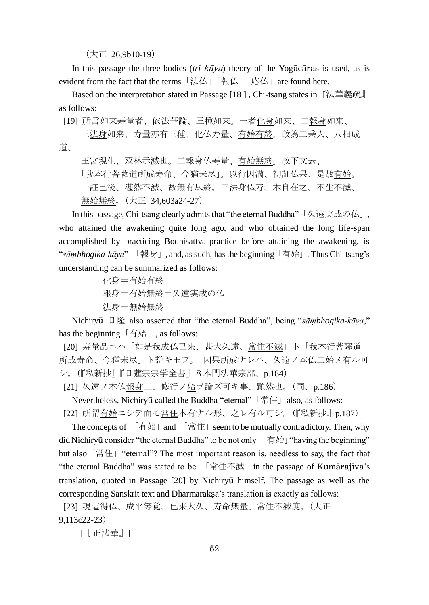(大正 26,9b10-19)

In this passage the three-bodies  $(tri-k\bar{a}ya)$  theory of the Yogacaras is used, as is evident from the fact that the terms 「法仏」「報仏」「応仏」are found here.

 Based on the interpretation stated in Passage [18 ] , Chi-tsang states in『法華義疏』 as follows:

[19] 所言如来寿量者、依法華論、三種如来。一者化身如来、二報身如来、

 三法身如来。寿量亦有三種。化仏寿量、有始有終。故為二乗人、八相成 道、

 王宮現生、双林示滅也。二報身仏寿量、有始無終。故下文云、 「我本行菩薩道所成寿命、今猶未尽」。以行因満、初証仏果、是故有始。 一証已後、湛然不滅、故無有尽終。三法身仏寿、本自在之、不生不滅、 無始無終。(大正 34,603a24-27)

 In this passage, Chi-tsang clearly admits that "the eternal Buddha"「久遠実成の仏」, who attained the awakening quite long ago, and who obtained the long life-span accomplished by practicing Bodhisattva-practice before attaining the awakening, is "*sāṃbhogika-kāya*" 「報身」, and, as such, has the beginning「有始」. Thus Chi-tsang's understanding can be summarized as follows:

> 化身=有始有終 報身=有始無終=久遠実成の仏 法身=無始無終

Nichiryū 日隆 also asserted that "the eternal Buddha", being "*sāmbhogika-kāya*," has the beginning  $[$  有始 $]$ , as follows:

[20] 寿量品ニハ「如是我成仏已来、甚大久遠、常住不滅」ト「我本行菩薩道 所成寿命、今猶未尽」ト説キ玉フ。 因果所成ナレバ、久遠ノ本仏二始メ有ル可 シ。(『私新抄』『日蓮宗宗学全書』8本門法華宗部、p.184)

[21] 久遠ノ本仏報身二、修行ノ始ヲ論ズ可キ事、顕然也。(同、p.186)

Nevertheless, Nichiryū called the Buddha "eternal" 「常住」also, as follows:

[22] 所謂有始ニシテ而モ常住本有ナル形、之レ有ル可シ。(『私新抄』p.187)

 The concepts of 「有始」and 「常住」seem to be mutually contradictory. Then, why did Nichiryū consider "the eternal Buddha" to be not only  $\lceil \frac{1}{n} \pi \rceil$  "having the beginning" but also 「常住」 "eternal"? The most important reason is, needless to say, the fact that "the eternal Buddha" was stated to be 「常住不滅」 in the passage of Kumārajīva's translation, quoted in Passage [20] by Nichiryū himself. The passage as well as the corresponding Sanskrit text and Dharmaraksa's translation is exactly as follows:

[23] 現這得仏、成平等覚、已来大久、寿命無量、<u>常住不滅度</u>。(大正 9,113c22-23)

[『正法華』]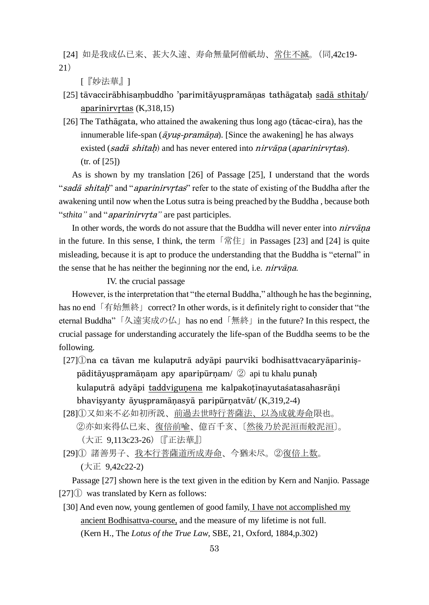[24] 如是我成仏已来、甚大久遠、寿命無量阿僧祇劫、常住不滅。(同,42c19- 21)

[『妙法華』]

- [25] tāvaccirābhisambuddho 'parimitāyuspramānas tathāgatah sadā sthitah/ aparinirvrtas $(K,318,15)$
- $[26]$  The Tathagata, who attained the awakening thus long ago (tacac-cira), has the innumerable life-span ( $\overline{a}$ *yus-pramāna*). [Since the awakening] he has always existed (sadā shitah) and has never entered into  $nirvāna$  (aparinity rtas). (tr. of [25])

 As is shown by my translation [26] of Passage [25], I understand that the words "sada shitah" and "apariniryrtas" refer to the state of existing of the Buddha after the awakening until now when the Lotus sutra is being preached by the Buddha , because both "*sthita*" and "*aparinirvrta*" are past participles.

In other words, the words do not assure that the Buddha will never enter into *nirvana* in the future. In this sense, I think, the term「常住」in Passages [23] and [24] is quite misleading, because it is apt to produce the understanding that the Buddha is "eternal" in the sense that he has neither the beginning nor the end, i.e. *nirvana*.

IV. the crucial passage

 However, is the interpretation that "the eternal Buddha," although he has the beginning, has no end「有始無終」correct? In other words, is it definitely right to consider that "the eternal Buddha"「久遠実成の仏」has no end「無終」in the future? In this respect, the crucial passage for understanding accurately the life-span of the Buddha seems to be the following.

- $[27]$  (Dna ca tāvan me kulaputrā advāpi paurvikī bodhisattvacaryāparinis $p\bar{a}$ ditāyus pramāņam apy aparipūrņam/ $\oslash$  api tu khalu punaņ kulaputrā advāpi taddvigunena me kalpakotīnavutaśatasahasrāni bhavisyanty āyuspramāņasyā paripūrņatvāt/ (K,319,2-4)
- [28]①又如来不必如初所説、前過去世時行菩薩法、以為成就寿命限也。 ②亦如来得仏已来、復倍前喩、億百千亥、〔然後乃於泥洹而般泥洹〕。 (大正 9,113c23-26)〔『正法華』〕

[29]① 諸善男子、我本行菩薩道所成寿命、今猶未尽。②復倍上数。 (大正 9,42c22-2)

 Passage [27] shown here is the text given in the edition by Kern and Nanjio. Passage [27]① was translated by Kern as follows:

[30] And even now, young gentlemen of good family, I have not accomplished my ancient Bodhisattva-course, and the measure of my lifetime is not full. (Kern H., The *Lotus of the True Law*, SBE, 21, Oxford, 1884,p.302)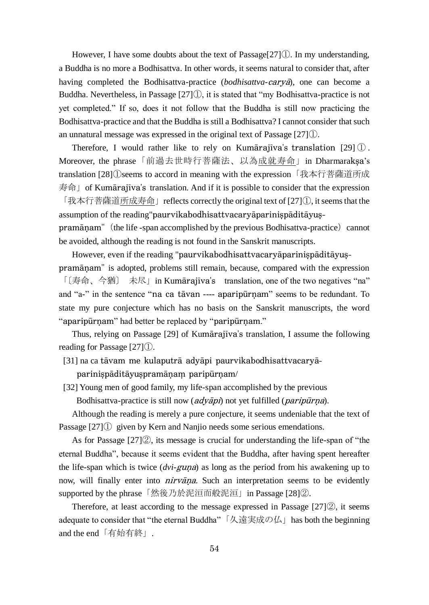However, I have some doubts about the text of Passage[27]①. In my understanding, a Buddha is no more a Bodhisattva. In other words, it seems natural to consider that, after having completed the Bodhisattva-practice (*bodhisattva-carya*), one can become a Buddha. Nevertheless, in Passage  $[27]$  $[$ ), it is stated that "my Bodhisattva-practice is not yet completed." If so, does it not follow that the Buddha is still now practicing the Bodhisattva-practice and that the Buddha is still a Bodhisattva? I cannot consider that such an unnatural message was expressed in the original text of Passage [27]①.

Therefore, I would rather like to rely on Kumārajīva's translation  $[29]$   $[$ ). Moreover, the phrase「前過去世時行菩薩法、以為成就寿命」in Dharmaraksa's translation [28]①seems to accord in meaning with the expression「我本行菩薩道所成  $\#\hat{m}$  of Kumārajīva's translation. And if it is possible to consider that the expression

「我本行菩薩道所成寿命」reflects correctly the original text of [27]①, it seems that the assumption of the reading"

pramānam" (the life -span accomplished by the previous Bodhisattva-practice) cannot be avoided, although the reading is not found in the Sanskrit manuscripts.

However, even if the reading "paurvikabodhisattvacaryāparinispāditāyus-

pramānam" is adopted, problems still remain, because, compared with the expression 「〔寿命、今猶〕 未尽」in Kumārajīva's translation, one of the two negatives "na" and "a-" in the sentence "na ca tāvan ---- aparipūrnam" seems to be redundant. To state my pure conjecture which has no basis on the Sanskrit manuscripts, the word " aparipurnam" had better be replaced by "paripurnam."

Thus, relying on Passage  $[29]$  of Kumārajīva's translation, I assume the following reading for Passage [27]①.

[31] na ca tāvam me kulaputrā advāpi paurvikabodhisattvacarvāparinispāditāyuspramāņam paripūrņam/

[32] Young men of good family, my life-span accomplished by the previous

Bodhisattva-practice is still now (*adyāpi*) not yet fulfilled (*paripūrna*).

 Although the reading is merely a pure conjecture, it seems undeniable that the text of Passage [27]① given by Kern and Nanjio needs some serious emendations.

 As for Passage [27]②, its message is crucial for understanding the life-span of "the eternal Buddha", because it seems evident that the Buddha, after having spent hereafter the life-span which is twice (*dvi-guna*) as long as the period from his awakening up to now, will finally enter into *nirvana*. Such an interpretation seems to be evidently supported by the phrase「然後乃於泥洹而般泥洹」in Passage [28]②.

 Therefore, at least according to the message expressed in Passage [27]②, it seems adequate to consider that "the eternal Buddha"「久遠実成の仏」has both the beginning and the end「有始有終」.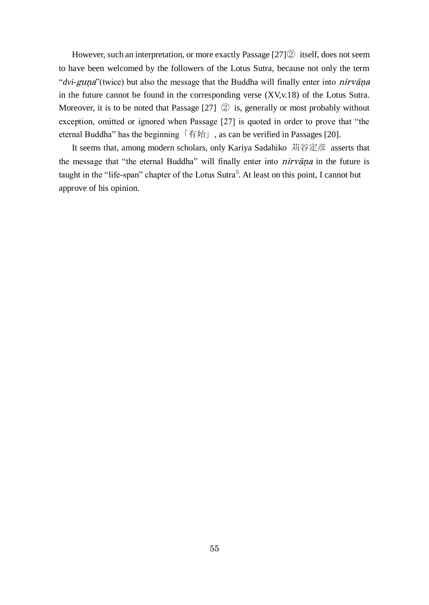However, such an interpretation, or more exactly Passage [27]② itself, does not seem to have been welcomed by the followers of the Lotus Sutra, because not only the term "*dvi-guna*"(twice) but also the message that the Buddha will finally enter into *nirvana* in the future cannot be found in the corresponding verse (XV,v.18) of the Lotus Sutra. Moreover, it is to be noted that Passage [27] ② is, generally or most probably without exception, omitted or ignored when Passage [27] is quoted in order to prove that "the eternal Buddha" has the beginning 「有始」, as can be verified in Passages [20].

 It seems that, among modern scholars, only Kariya Sadahiko 苅谷定彦 asserts that the message that "the eternal Buddha" will finally enter into *nirvana* in the future is taught in the "life-span" chapter of the Lotus Sutra<sup>5</sup>. At least on this point, I cannot but approve of his opinion.